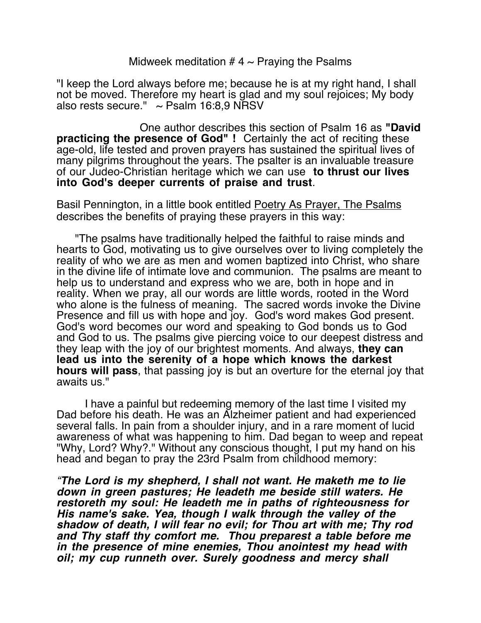Midweek meditation # 4  $\sim$  Praying the Psalms

"I keep the Lord always before me; because he is at my right hand, I shall not be moved. Therefore my heart is glad and my soul rejoices; My body also rests secure."  $\sim$  Psalm 16:8,9 NRSV

 One author describes this section of Psalm 16 as **"David practicing the presence of God" !** Certainly the act of reciting these age-old, life tested and proven prayers has sustained the spiritual lives of many pilgrims throughout the years. The psalter is an invaluable treasure of our Judeo-Christian heritage which we can use **to thrust our lives into God's deeper currents of praise and trust**.

Basil Pennington, in a little book entitled Poetry As Prayer, The Psalms describes the benefits of praying these prayers in this way:

 "The psalms have traditionally helped the faithful to raise minds and hearts to God, motivating us to give ourselves over to living completely the reality of who we are as men and women baptized into Christ, who share in the divine life of intimate love and communion. The psalms are meant to help us to understand and express who we are, both in hope and in reality. When we pray, all our words are little words, rooted in the Word who alone is the fulness of meaning. The sacred words invoke the Divine Presence and fill us with hope and joy. God's word makes God present. God's word becomes our word and speaking to God bonds us to God and God to us. The psalms give piercing voice to our deepest distress and they leap with the joy of our brightest moments. And always, **they can lead us into the serenity of a hope which knows the darkest hours will pass**, that passing joy is but an overture for the eternal joy that awaits us."

I have a painful but redeeming memory of the last time I visited my Dad before his death. He was an Alzheimer patient and had experienced several falls. In pain from a shoulder injury, and in a rare moment of lucid awareness of what was happening to him. Dad began to weep and repeat "Why, Lord? Why?." Without any conscious thought, I put my hand on his head and began to pray the 23rd Psalm from childhood memory:

"**The Lord is my shepherd, I shall not want. He maketh me to lie down in green pastures; He leadeth me beside still waters. He restoreth my soul: He leadeth me in paths of righteousness for His name's sake. Yea, though I walk through the valley of the shadow of death, I will fear no evil; for Thou art with me; Thy rod and Thy staff thy comfort me. Thou preparest a table before me in the presence of mine enemies, Thou anointest my head with oil; my cup runneth over. Surely goodness and mercy shall**